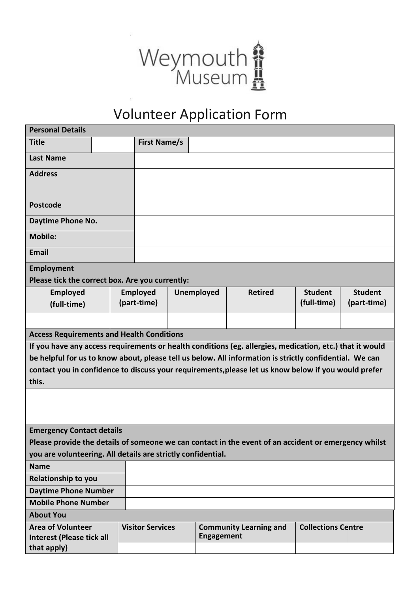

## Volunteer Application Form

| <b>Personal Details</b>                                                                                  |  |                         |                     |                   |                                                                                                         |                           |                |  |  |  |  |
|----------------------------------------------------------------------------------------------------------|--|-------------------------|---------------------|-------------------|---------------------------------------------------------------------------------------------------------|---------------------------|----------------|--|--|--|--|
| <b>Title</b>                                                                                             |  |                         | <b>First Name/s</b> |                   |                                                                                                         |                           |                |  |  |  |  |
| <b>Last Name</b>                                                                                         |  |                         |                     |                   |                                                                                                         |                           |                |  |  |  |  |
| <b>Address</b>                                                                                           |  |                         |                     |                   |                                                                                                         |                           |                |  |  |  |  |
|                                                                                                          |  |                         |                     |                   |                                                                                                         |                           |                |  |  |  |  |
| <b>Postcode</b>                                                                                          |  |                         |                     |                   |                                                                                                         |                           |                |  |  |  |  |
| Daytime Phone No.                                                                                        |  |                         |                     |                   |                                                                                                         |                           |                |  |  |  |  |
| <b>Mobile:</b>                                                                                           |  |                         |                     |                   |                                                                                                         |                           |                |  |  |  |  |
| <b>Email</b>                                                                                             |  |                         |                     |                   |                                                                                                         |                           |                |  |  |  |  |
| Employment                                                                                               |  |                         |                     |                   |                                                                                                         |                           |                |  |  |  |  |
| Please tick the correct box. Are you currently:                                                          |  |                         |                     |                   |                                                                                                         |                           |                |  |  |  |  |
| <b>Employed</b>                                                                                          |  | <b>Employed</b>         |                     | <b>Unemployed</b> | <b>Retired</b>                                                                                          | <b>Student</b>            | <b>Student</b> |  |  |  |  |
| (full-time)                                                                                              |  | (part-time)             |                     |                   |                                                                                                         | (full-time)               | (part-time)    |  |  |  |  |
|                                                                                                          |  |                         |                     |                   |                                                                                                         |                           |                |  |  |  |  |
| <b>Access Requirements and Health Conditions</b>                                                         |  |                         |                     |                   |                                                                                                         |                           |                |  |  |  |  |
| If you have any access requirements or health conditions (eg. allergies, medication, etc.) that it would |  |                         |                     |                   |                                                                                                         |                           |                |  |  |  |  |
|                                                                                                          |  |                         |                     |                   | be helpful for us to know about, please tell us below. All information is strictly confidential. We can |                           |                |  |  |  |  |
| contact you in confidence to discuss your requirements, please let us know below if you would prefer     |  |                         |                     |                   |                                                                                                         |                           |                |  |  |  |  |
| this.                                                                                                    |  |                         |                     |                   |                                                                                                         |                           |                |  |  |  |  |
|                                                                                                          |  |                         |                     |                   |                                                                                                         |                           |                |  |  |  |  |
|                                                                                                          |  |                         |                     |                   |                                                                                                         |                           |                |  |  |  |  |
|                                                                                                          |  |                         |                     |                   |                                                                                                         |                           |                |  |  |  |  |
| <b>Emergency Contact details</b>                                                                         |  |                         |                     |                   |                                                                                                         |                           |                |  |  |  |  |
| Please provide the details of someone we can contact in the event of an accident or emergency whilst     |  |                         |                     |                   |                                                                                                         |                           |                |  |  |  |  |
| you are volunteering. All details are strictly confidential.                                             |  |                         |                     |                   |                                                                                                         |                           |                |  |  |  |  |
| <b>Name</b>                                                                                              |  |                         |                     |                   |                                                                                                         |                           |                |  |  |  |  |
| <b>Relationship to you</b>                                                                               |  |                         |                     |                   |                                                                                                         |                           |                |  |  |  |  |
| <b>Daytime Phone Number</b>                                                                              |  |                         |                     |                   |                                                                                                         |                           |                |  |  |  |  |
| <b>Mobile Phone Number</b>                                                                               |  |                         |                     |                   |                                                                                                         |                           |                |  |  |  |  |
| <b>About You</b>                                                                                         |  |                         |                     |                   |                                                                                                         |                           |                |  |  |  |  |
|                                                                                                          |  |                         |                     |                   |                                                                                                         |                           |                |  |  |  |  |
| <b>Area of Volunteer</b><br><b>Interest (Please tick all</b>                                             |  | <b>Visitor Services</b> |                     | <b>Engagement</b> | <b>Community Learning and</b>                                                                           | <b>Collections Centre</b> |                |  |  |  |  |
| that apply)                                                                                              |  |                         |                     |                   |                                                                                                         |                           |                |  |  |  |  |